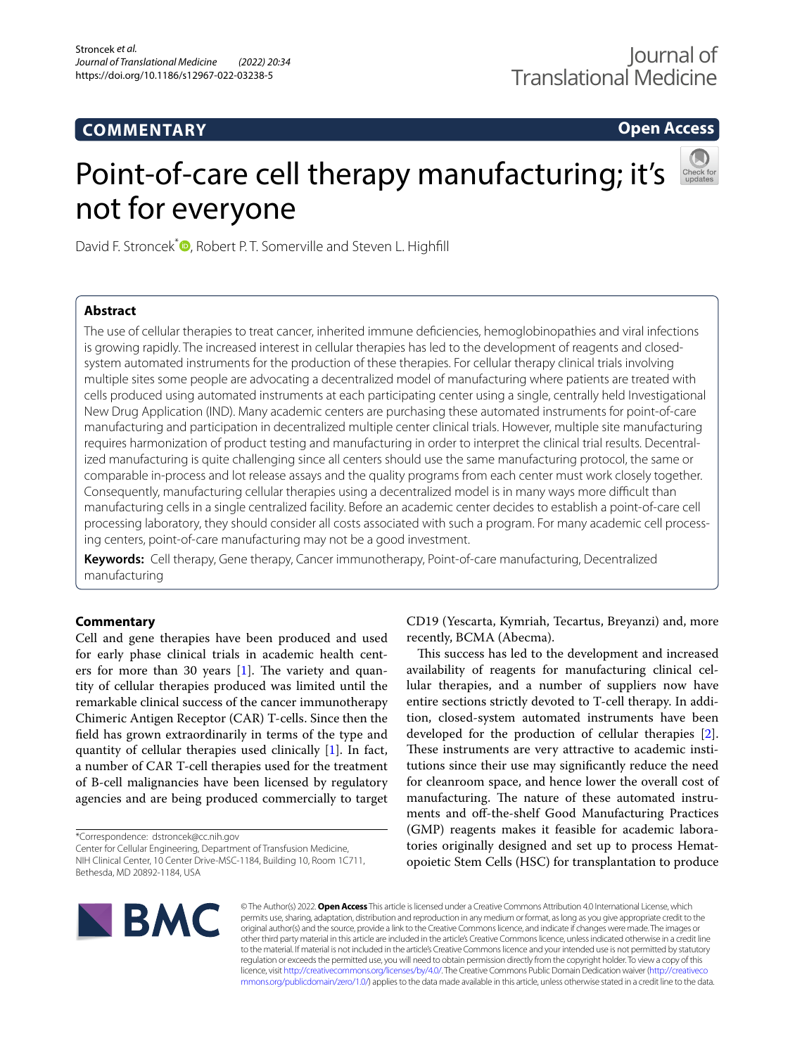# **COMMENTARY**

**Open Access**

# Point-of-care cell therapy manufacturing; it's not for everyone



David F. Stroncek<sup>\*</sup><sup>1</sup>[,](http://orcid.org/0000-0001-5867-3265) Robert P.T. Somerville and Steven L. Highfill

# **Abstract**

The use of cellular therapies to treat cancer, inherited immune defciencies, hemoglobinopathies and viral infections is growing rapidly. The increased interest in cellular therapies has led to the development of reagents and closedsystem automated instruments for the production of these therapies. For cellular therapy clinical trials involving multiple sites some people are advocating a decentralized model of manufacturing where patients are treated with cells produced using automated instruments at each participating center using a single, centrally held Investigational New Drug Application (IND). Many academic centers are purchasing these automated instruments for point-of-care manufacturing and participation in decentralized multiple center clinical trials. However, multiple site manufacturing requires harmonization of product testing and manufacturing in order to interpret the clinical trial results. Decentralized manufacturing is quite challenging since all centers should use the same manufacturing protocol, the same or comparable in-process and lot release assays and the quality programs from each center must work closely together. Consequently, manufacturing cellular therapies using a decentralized model is in many ways more difficult than manufacturing cells in a single centralized facility. Before an academic center decides to establish a point-of-care cell processing laboratory, they should consider all costs associated with such a program. For many academic cell processing centers, point-of-care manufacturing may not be a good investment.

**Keywords:** Cell therapy, Gene therapy, Cancer immunotherapy, Point-of-care manufacturing, Decentralized manufacturing

# **Commentary**

Cell and gene therapies have been produced and used for early phase clinical trials in academic health centers for more than 30 years  $[1]$  $[1]$ . The variety and quantity of cellular therapies produced was limited until the remarkable clinical success of the cancer immunotherapy Chimeric Antigen Receptor (CAR) T-cells. Since then the feld has grown extraordinarily in terms of the type and quantity of cellular therapies used clinically [[1](#page-1-0)]. In fact, a number of CAR T-cell therapies used for the treatment of B-cell malignancies have been licensed by regulatory agencies and are being produced commercially to target

\*Correspondence: dstroncek@cc.nih.gov

Center for Cellular Engineering, Department of Transfusion Medicine, NIH Clinical Center, 10 Center Drive-MSC-1184, Building 10, Room 1C711, Bethesda, MD 20892-1184, USA

CD19 (Yescarta, Kymriah, Tecartus, Breyanzi) and, more recently, BCMA (Abecma).

This success has led to the development and increased availability of reagents for manufacturing clinical cellular therapies, and a number of suppliers now have entire sections strictly devoted to T-cell therapy. In addition, closed-system automated instruments have been developed for the production of cellular therapies [\[2](#page-1-1)]. These instruments are very attractive to academic institutions since their use may signifcantly reduce the need for cleanroom space, and hence lower the overall cost of manufacturing. The nature of these automated instruments and off-the-shelf Good Manufacturing Practices (GMP) reagents makes it feasible for academic laboratories originally designed and set up to process Hematopoietic Stem Cells (HSC) for transplantation to produce



© The Author(s) 2022. **Open Access** This article is licensed under a Creative Commons Attribution 4.0 International License, which permits use, sharing, adaptation, distribution and reproduction in any medium or format, as long as you give appropriate credit to the original author(s) and the source, provide a link to the Creative Commons licence, and indicate if changes were made. The images or other third party material in this article are included in the article's Creative Commons licence, unless indicated otherwise in a credit line to the material. If material is not included in the article's Creative Commons licence and your intended use is not permitted by statutory regulation or exceeds the permitted use, you will need to obtain permission directly from the copyright holder. To view a copy of this licence, visit [http://creativecommons.org/licenses/by/4.0/.](http://creativecommons.org/licenses/by/4.0/) The Creative Commons Public Domain Dedication waiver ([http://creativeco](http://creativecommons.org/publicdomain/zero/1.0/) [mmons.org/publicdomain/zero/1.0/](http://creativecommons.org/publicdomain/zero/1.0/)) applies to the data made available in this article, unless otherwise stated in a credit line to the data.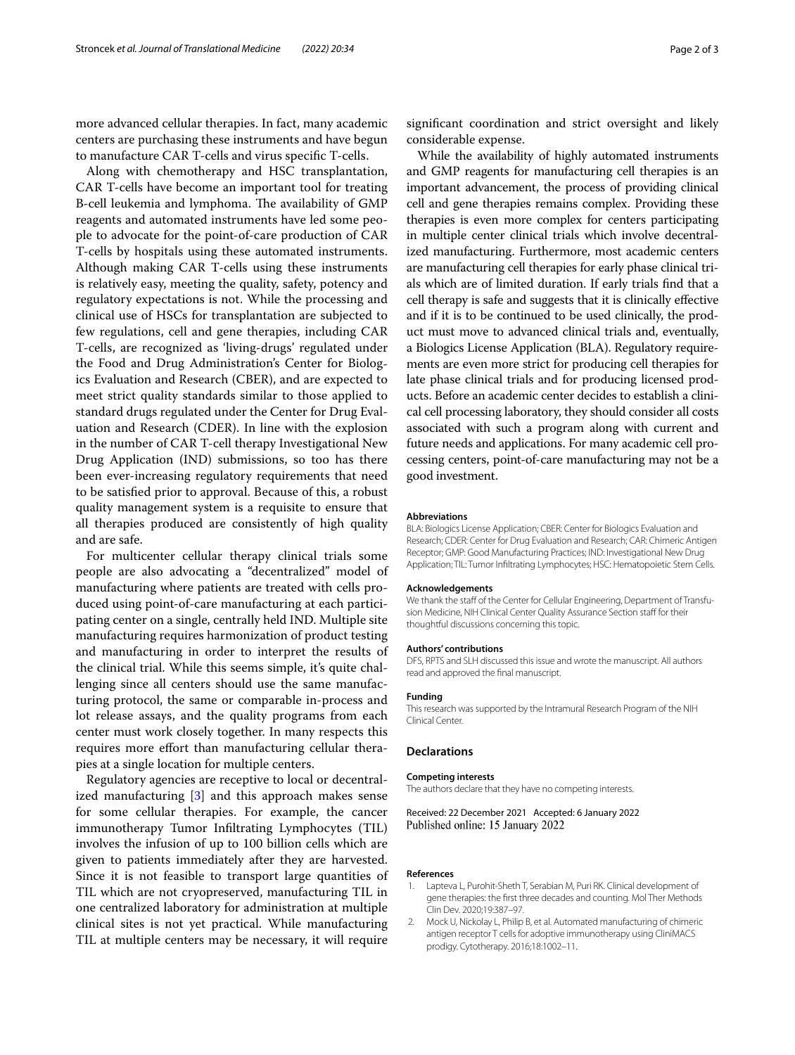more advanced cellular therapies. In fact, many academic centers are purchasing these instruments and have begun to manufacture CAR T-cells and virus specifc T-cells.

Along with chemotherapy and HSC transplantation, CAR T-cells have become an important tool for treating B-cell leukemia and lymphoma. The availability of GMP reagents and automated instruments have led some people to advocate for the point-of-care production of CAR T-cells by hospitals using these automated instruments. Although making CAR T-cells using these instruments is relatively easy, meeting the quality, safety, potency and regulatory expectations is not. While the processing and clinical use of HSCs for transplantation are subjected to few regulations, cell and gene therapies, including CAR T-cells, are recognized as 'living-drugs' regulated under the Food and Drug Administration's Center for Biologics Evaluation and Research (CBER), and are expected to meet strict quality standards similar to those applied to standard drugs regulated under the Center for Drug Evaluation and Research (CDER). In line with the explosion in the number of CAR T-cell therapy Investigational New Drug Application (IND) submissions, so too has there been ever-increasing regulatory requirements that need to be satisfed prior to approval. Because of this, a robust quality management system is a requisite to ensure that all therapies produced are consistently of high quality and are safe.

For multicenter cellular therapy clinical trials some people are also advocating a "decentralized" model of manufacturing where patients are treated with cells produced using point-of-care manufacturing at each participating center on a single, centrally held IND. Multiple site manufacturing requires harmonization of product testing and manufacturing in order to interpret the results of the clinical trial. While this seems simple, it's quite challenging since all centers should use the same manufacturing protocol, the same or comparable in-process and lot release assays, and the quality programs from each center must work closely together. In many respects this requires more effort than manufacturing cellular therapies at a single location for multiple centers.

Regulatory agencies are receptive to local or decentralized manufacturing [[3](#page-2-0)] and this approach makes sense for some cellular therapies. For example, the cancer immunotherapy Tumor Infltrating Lymphocytes (TIL) involves the infusion of up to 100 billion cells which are given to patients immediately after they are harvested. Since it is not feasible to transport large quantities of TIL which are not cryopreserved, manufacturing TIL in one centralized laboratory for administration at multiple clinical sites is not yet practical. While manufacturing TIL at multiple centers may be necessary, it will require

signifcant coordination and strict oversight and likely considerable expense.

While the availability of highly automated instruments and GMP reagents for manufacturing cell therapies is an important advancement, the process of providing clinical cell and gene therapies remains complex. Providing these therapies is even more complex for centers participating in multiple center clinical trials which involve decentralized manufacturing. Furthermore, most academic centers are manufacturing cell therapies for early phase clinical trials which are of limited duration. If early trials fnd that a cell therapy is safe and suggests that it is clinically efective and if it is to be continued to be used clinically, the product must move to advanced clinical trials and, eventually, a Biologics License Application (BLA). Regulatory requirements are even more strict for producing cell therapies for late phase clinical trials and for producing licensed products. Before an academic center decides to establish a clinical cell processing laboratory, they should consider all costs associated with such a program along with current and future needs and applications. For many academic cell processing centers, point-of-care manufacturing may not be a good investment.

#### **Abbreviations**

BLA: Biologics License Application; CBER: Center for Biologics Evaluation and Research; CDER: Center for Drug Evaluation and Research; CAR: Chimeric Antigen Receptor; GMP: Good Manufacturing Practices; IND: Investigational New Drug Application; TIL: Tumor Infltrating Lymphocytes; HSC: Hematopoietic Stem Cells.

#### **Acknowledgements**

We thank the staff of the Center for Cellular Engineering, Department of Transfusion Medicine, NIH Clinical Center Quality Assurance Section staff for their thoughtful discussions concerning this topic.

#### **Authors' contributions**

DFS, RPTS and SLH discussed this issue and wrote the manuscript. All authors read and approved the fnal manuscript.

#### **Funding**

This research was supported by the Intramural Research Program of the NIH Clinical Center.

## **Declarations**

#### **Competing interests**

The authors declare that they have no competing interests.

Received: 22 December 2021 Accepted: 6 January 2022 Published online: 15 January 2022

#### **References**

- <span id="page-1-0"></span>1. Lapteva L, Purohit-Sheth T, Serabian M, Puri RK. Clinical development of gene therapies: the frst three decades and counting. Mol Ther Methods Clin Dev. 2020;19:387–97.
- <span id="page-1-1"></span>2. Mock U, Nickolay L, Philip B, et al. Automated manufacturing of chimeric antigen receptor T cells for adoptive immunotherapy using CliniMACS prodigy. Cytotherapy. 2016;18:1002–11.